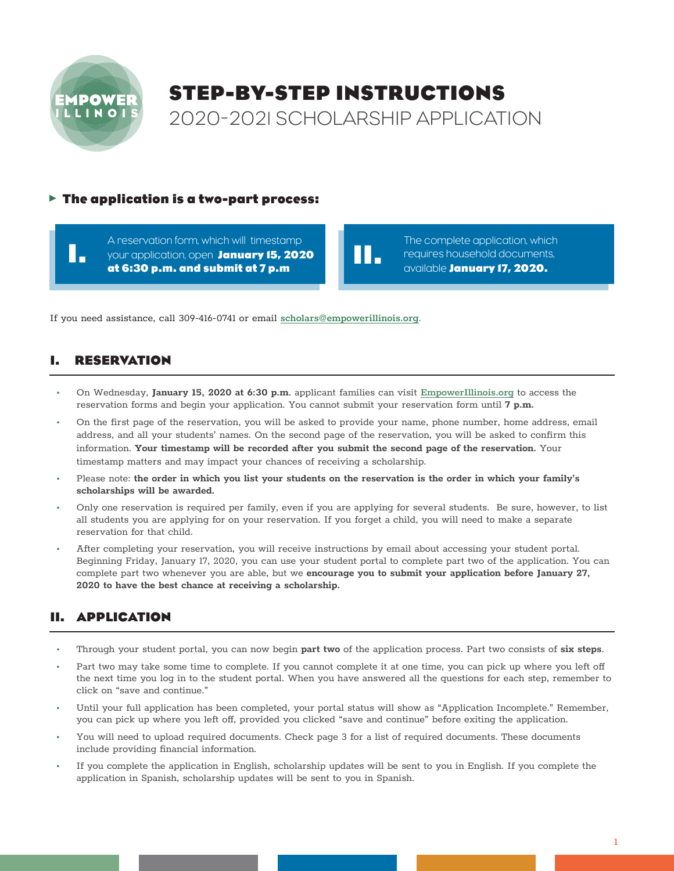

**I.**

# **STEP-BY-STEP INSTRUCTIONS**  2020-2021 SCHOLARSHIP APPLICATION

**II.**

#### **The application is a two-part process:**

A reservation form, which will timestamp your application, open **January 15, 2020 at 6:30 p.m. and submit at 7 p.m**

The complete application, which requires household documents, available **January 17, 2020.**

If you need assistance, call 309-416-0741 or email **scholars@empowerillinois.org**.

#### **I. RESERVATION**

- On Wednesday, **January 15, 2020 at 6:30 p.m.** applicant families can visit **EmpowerIllinois.org** to access the reservation forms and begin your application. You cannot submit your reservation form until **7 p.m.**
- On the first page of the reservation, you will be asked to provide your name, phone number, home address, email address, and all your students' names. On the second page of the reservation, you will be asked to confirm this information. **Your timestamp will be recorded after you submit the second page of the reservation.** Your timestamp matters and may impact your chances of receiving a scholarship.
- Please note: **the order in which you list your students on the reservation is the order in which your family's scholarships will be awarded.**
- Only one reservation is required per family, even if you are applying for several students. Be sure, however, to list all students you are applying for on your reservation. If you forget a child, you will need to make a separate reservation for that child.
- After completing your reservation, you will receive instructions by email about accessing your student portal. Beginning Friday, January 17, 2020, you can use your student portal to complete part two of the application. You can complete part two whenever you are able, but we **encourage you to submit your application before January 27, 2020 to have the best chance at receiving a scholarship.**

# **II. APPLICATION**

- Through your student portal, you can now begin **part two** of the application process. Part two consists of **six steps**.
- Part two may take some time to complete. If you cannot complete it at one time, you can pick up where you left of the next time you log in to the student portal. When you have answered all the questions for each step, remember to click on "save and continue."
- Until your full application has been completed, your portal status will show as "Application Incomplete." Remember, you can pick up where you left off, provided you clicked "save and continue" before exiting the application.
- You will need to upload required documents. Check page 3 for a list of required documents. These documents include providing financial information.
- If you complete the application in English, scholarship updates will be sent to you in English. If you complete the application in Spanish, scholarship updates will be sent to you in Spanish.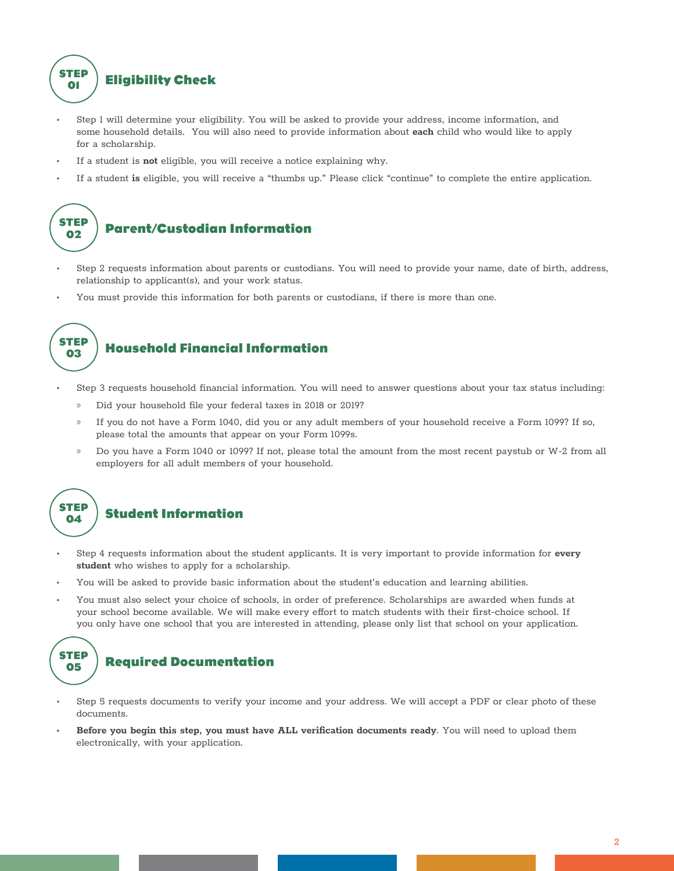

- Step 1 will determine your eligibility. You will be asked to provide your address, income information, and some household details. You will also need to provide information about **each** child who would like to apply for a scholarship.
- If a student is **not** eligible, you will receive a notice explaining why.
- If a student **is** eligible, you will receive a "thumbs up." Please click "continue" to complete the entire application.



- Step 2 requests information about parents or custodians. You will need to provide your name, date of birth, address, relationship to applicant(s), and your work status.
- You must provide this information for both parents or custodians, if there is more than one.



## **Household Financial Information**

- Step 3 requests household financial information. You will need to answer questions about your tax status including:
	- Did your household file your federal taxes in 2018 or 2019?
	- » If you do not have a Form 1040, did you or any adult members of your household receive a Form 1099? If so, please total the amounts that appear on your Form 1099s.
	- » Do you have a Form 1040 or 1099? If not, please total the amount from the most recent paystub or W-2 from all employers for all adult members of your household.



#### **Student Information**

- Step 4 requests information about the student applicants. It is very important to provide information for **every student** who wishes to apply for a scholarship.
- You will be asked to provide basic information about the student's education and learning abilities.
- You must also select your choice of schools, in order of preference. Scholarships are awarded when funds at your school become available. We will make every effort to match students with their first-choice school. If you only have one school that you are interested in attending, please only list that school on your application.

```
STEP
05
```
## **Required Documentation**

- Step 5 requests documents to verify your income and your address. We will accept a PDF or clear photo of these documents.
- **• Before you begin this step, you must have ALL veriication documents ready**. You will need to upload them electronically, with your application.